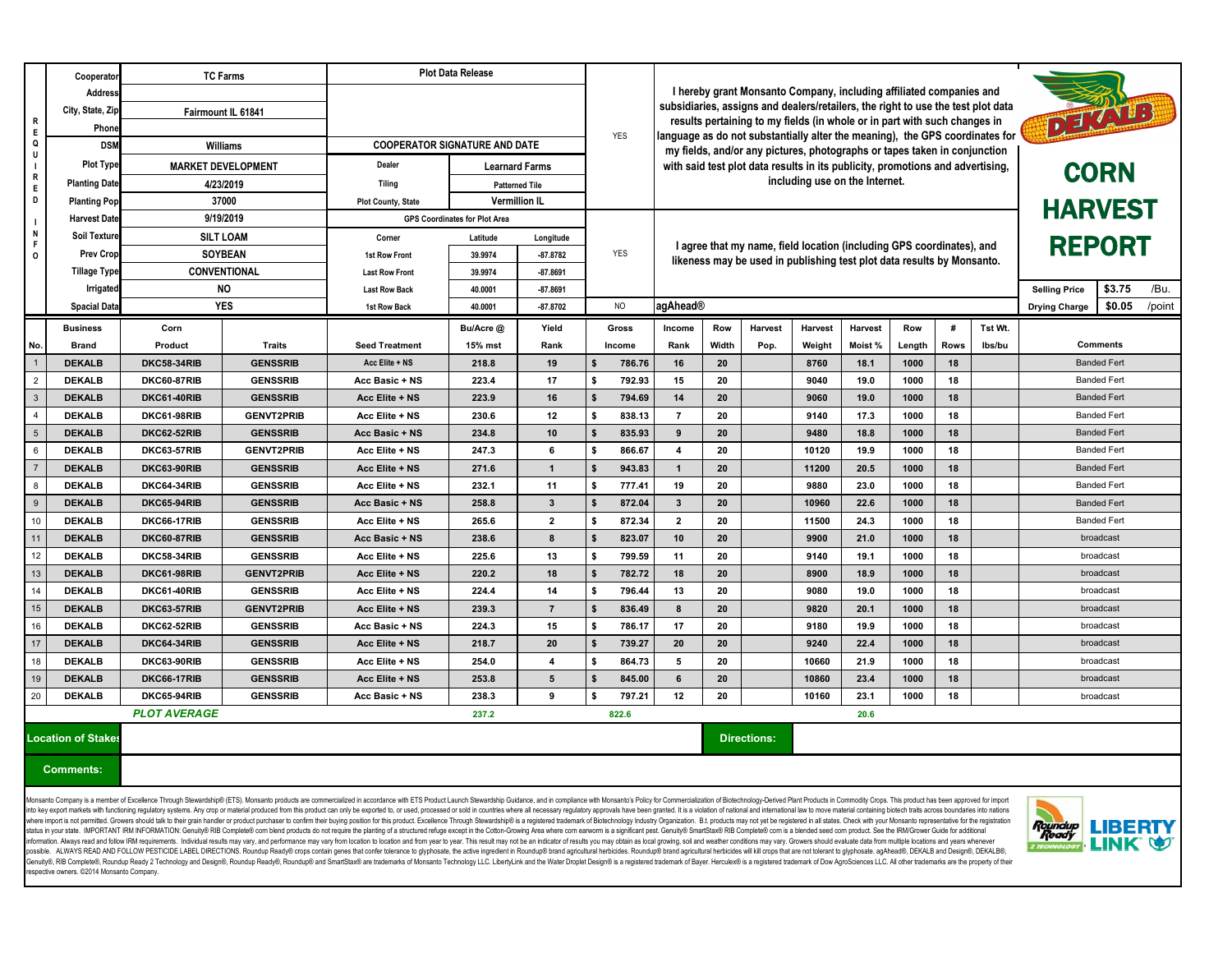|                                                                                                                                                                                                                                                                                                                                                                                                                                                                                                                                                                                                                                                                                                                                                                                                                                                                                                                                                                                                                                                                                                                                                                                                                                                                                                                                                                                                                                                                                                                                                                                                                                                                                                                                               | Cooperator                             | <b>TC Farms</b>                                        |                                    | <b>Plot Data Release</b>             |                                      |                                                                                                                                                                           |                           |                                                                                |                 |                                                                              |                                                |              |              |              |        |                                |        |  |  |
|-----------------------------------------------------------------------------------------------------------------------------------------------------------------------------------------------------------------------------------------------------------------------------------------------------------------------------------------------------------------------------------------------------------------------------------------------------------------------------------------------------------------------------------------------------------------------------------------------------------------------------------------------------------------------------------------------------------------------------------------------------------------------------------------------------------------------------------------------------------------------------------------------------------------------------------------------------------------------------------------------------------------------------------------------------------------------------------------------------------------------------------------------------------------------------------------------------------------------------------------------------------------------------------------------------------------------------------------------------------------------------------------------------------------------------------------------------------------------------------------------------------------------------------------------------------------------------------------------------------------------------------------------------------------------------------------------------------------------------------------------|----------------------------------------|--------------------------------------------------------|------------------------------------|--------------------------------------|--------------------------------------|---------------------------------------------------------------------------------------------------------------------------------------------------------------------------|---------------------------|--------------------------------------------------------------------------------|-----------------|------------------------------------------------------------------------------|------------------------------------------------|--------------|--------------|--------------|--------|--------------------------------|--------|--|--|
| $\mathsf{R}$                                                                                                                                                                                                                                                                                                                                                                                                                                                                                                                                                                                                                                                                                                                                                                                                                                                                                                                                                                                                                                                                                                                                                                                                                                                                                                                                                                                                                                                                                                                                                                                                                                                                                                                                  | Address                                |                                                        |                                    |                                      |                                      | I hereby grant Monsanto Company, including affiliated companies and                                                                                                       |                           |                                                                                |                 |                                                                              |                                                |              |              |              |        |                                |        |  |  |
|                                                                                                                                                                                                                                                                                                                                                                                                                                                                                                                                                                                                                                                                                                                                                                                                                                                                                                                                                                                                                                                                                                                                                                                                                                                                                                                                                                                                                                                                                                                                                                                                                                                                                                                                               | City, State, Zip                       | Fairmount IL 61841                                     |                                    |                                      |                                      | DE TATES<br>subsidiaries, assigns and dealers/retailers, the right to use the test plot data<br>results pertaining to my fields (in whole or in part with such changes in |                           |                                                                                |                 |                                                                              |                                                |              |              |              |        |                                |        |  |  |
| E                                                                                                                                                                                                                                                                                                                                                                                                                                                                                                                                                                                                                                                                                                                                                                                                                                                                                                                                                                                                                                                                                                                                                                                                                                                                                                                                                                                                                                                                                                                                                                                                                                                                                                                                             | <b>Phone</b>                           |                                                        |                                    |                                      |                                      |                                                                                                                                                                           | <b>YES</b>                |                                                                                |                 | language as do not substantially alter the meaning), the GPS coordinates for |                                                |              |              |              |        |                                |        |  |  |
| Q<br>U                                                                                                                                                                                                                                                                                                                                                                                                                                                                                                                                                                                                                                                                                                                                                                                                                                                                                                                                                                                                                                                                                                                                                                                                                                                                                                                                                                                                                                                                                                                                                                                                                                                                                                                                        | <b>DSN</b>                             | <b>Williams</b>                                        |                                    | <b>COOPERATOR SIGNATURE AND DATE</b> |                                      |                                                                                                                                                                           |                           | my fields, and/or any pictures, photographs or tapes taken in conjunction      |                 |                                                                              |                                                |              |              |              |        |                                |        |  |  |
| R                                                                                                                                                                                                                                                                                                                                                                                                                                                                                                                                                                                                                                                                                                                                                                                                                                                                                                                                                                                                                                                                                                                                                                                                                                                                                                                                                                                                                                                                                                                                                                                                                                                                                                                                             | <b>Plot Type</b>                       | <b>MARKET DEVELOPMENT</b>                              |                                    | Dealer                               | <b>Learnard Farms</b>                |                                                                                                                                                                           |                           | with said test plot data results in its publicity, promotions and advertising, | <b>CORN</b>     |                                                                              |                                                |              |              |              |        |                                |        |  |  |
| E                                                                                                                                                                                                                                                                                                                                                                                                                                                                                                                                                                                                                                                                                                                                                                                                                                                                                                                                                                                                                                                                                                                                                                                                                                                                                                                                                                                                                                                                                                                                                                                                                                                                                                                                             | <b>Planting Date</b>                   | 4/23/2019                                              |                                    | <b>Tiling</b>                        |                                      | <b>Patterned Tile</b>                                                                                                                                                     |                           |                                                                                |                 |                                                                              |                                                |              |              |              |        |                                |        |  |  |
| D<br>N<br>F<br>$\overline{O}$                                                                                                                                                                                                                                                                                                                                                                                                                                                                                                                                                                                                                                                                                                                                                                                                                                                                                                                                                                                                                                                                                                                                                                                                                                                                                                                                                                                                                                                                                                                                                                                                                                                                                                                 | <b>Planting Pop</b>                    | 37000                                                  |                                    | <b>Plot County, State</b>            | <b>Vermillion IL</b>                 |                                                                                                                                                                           | <b>HARVEST</b>            |                                                                                |                 |                                                                              |                                                |              |              |              |        |                                |        |  |  |
|                                                                                                                                                                                                                                                                                                                                                                                                                                                                                                                                                                                                                                                                                                                                                                                                                                                                                                                                                                                                                                                                                                                                                                                                                                                                                                                                                                                                                                                                                                                                                                                                                                                                                                                                               | <b>Harvest Date</b>                    | 9/19/2019                                              |                                    |                                      | <b>GPS Coordinates for Plot Area</b> |                                                                                                                                                                           |                           |                                                                                |                 |                                                                              |                                                |              |              |              |        |                                |        |  |  |
|                                                                                                                                                                                                                                                                                                                                                                                                                                                                                                                                                                                                                                                                                                                                                                                                                                                                                                                                                                                                                                                                                                                                                                                                                                                                                                                                                                                                                                                                                                                                                                                                                                                                                                                                               | <b>Soil Texture</b>                    | <b>SILT LOAM</b>                                       |                                    | Corner                               | Latitude                             | Longitude                                                                                                                                                                 |                           |                                                                                |                 | I agree that my name, field location (including GPS coordinates), and        | <b>REPORT</b>                                  |              |              |              |        |                                |        |  |  |
|                                                                                                                                                                                                                                                                                                                                                                                                                                                                                                                                                                                                                                                                                                                                                                                                                                                                                                                                                                                                                                                                                                                                                                                                                                                                                                                                                                                                                                                                                                                                                                                                                                                                                                                                               | <b>Prev Crop</b>                       | <b>SOYBEAN</b>                                         |                                    | <b>1st Row Front</b>                 | 39.9974                              | -87.8782                                                                                                                                                                  | <b>YES</b>                |                                                                                |                 | likeness may be used in publishing test plot data results by Monsanto.       |                                                |              |              |              |        |                                |        |  |  |
|                                                                                                                                                                                                                                                                                                                                                                                                                                                                                                                                                                                                                                                                                                                                                                                                                                                                                                                                                                                                                                                                                                                                                                                                                                                                                                                                                                                                                                                                                                                                                                                                                                                                                                                                               | <b>Tillage Type</b>                    | <b>CONVENTIONAL</b><br><b>NO</b><br><b>YES</b><br>Corn |                                    | <b>Last Row Front</b>                | 39.9974                              | -87.8691                                                                                                                                                                  |                           |                                                                                |                 |                                                                              |                                                |              |              |              |        |                                |        |  |  |
|                                                                                                                                                                                                                                                                                                                                                                                                                                                                                                                                                                                                                                                                                                                                                                                                                                                                                                                                                                                                                                                                                                                                                                                                                                                                                                                                                                                                                                                                                                                                                                                                                                                                                                                                               | Irrigated                              |                                                        |                                    | <b>Last Row Back</b>                 | 40.0001                              | -87.8691                                                                                                                                                                  |                           | agAhead®                                                                       |                 |                                                                              | \$3.75<br><b>Selling Price</b>                 | /Bu.         |              |              |        |                                |        |  |  |
|                                                                                                                                                                                                                                                                                                                                                                                                                                                                                                                                                                                                                                                                                                                                                                                                                                                                                                                                                                                                                                                                                                                                                                                                                                                                                                                                                                                                                                                                                                                                                                                                                                                                                                                                               | <b>Spacial Data</b><br><b>Business</b> |                                                        |                                    | <b>1st Row Back</b>                  | 40.0001<br>Bu/Acre @                 | $-87.8702$<br>Yield                                                                                                                                                       | <b>NO</b><br><b>Gross</b> | <b>Harvest</b><br><b>Row</b><br><b>Income</b>                                  |                 |                                                                              | <b>Harvest</b><br><b>Harvest</b><br><b>Row</b> |              |              | Tst Wt.<br># |        | \$0.05<br><b>Drying Charge</b> | /point |  |  |
| No.                                                                                                                                                                                                                                                                                                                                                                                                                                                                                                                                                                                                                                                                                                                                                                                                                                                                                                                                                                                                                                                                                                                                                                                                                                                                                                                                                                                                                                                                                                                                                                                                                                                                                                                                           | <b>Brand</b>                           | <b>Product</b>                                         | Traits                             | <b>Seed Treatment</b>                | 15% mst                              | Rank                                                                                                                                                                      | <b>Income</b>             | Rank                                                                           | Width           | Pop.                                                                         | Weight                                         | Moist %      | Length       | <b>Rows</b>  | lbs/bu | <b>Comments</b>                |        |  |  |
| $\overline{1}$                                                                                                                                                                                                                                                                                                                                                                                                                                                                                                                                                                                                                                                                                                                                                                                                                                                                                                                                                                                                                                                                                                                                                                                                                                                                                                                                                                                                                                                                                                                                                                                                                                                                                                                                | <b>DEKALB</b>                          | <b>DKC58-34RIB</b>                                     | <b>GENSSRIB</b>                    | Acc Elite + NS                       | 218.8                                | 19                                                                                                                                                                        | 786.76                    | 16                                                                             | <b>20</b>       |                                                                              | 8760                                           | 18.1         | 1000         | 18           |        | <b>Banded Fert</b>             |        |  |  |
| $\overline{2}$                                                                                                                                                                                                                                                                                                                                                                                                                                                                                                                                                                                                                                                                                                                                                                                                                                                                                                                                                                                                                                                                                                                                                                                                                                                                                                                                                                                                                                                                                                                                                                                                                                                                                                                                | <b>DEKALB</b>                          | <b>DKC60-87RIB</b>                                     | <b>GENSSRIB</b>                    | Acc Basic + NS                       | 223.4                                | 17                                                                                                                                                                        | 792.93                    | 15                                                                             | 20              |                                                                              | 9040                                           | 19.0         | 1000         | 18           |        | <b>Banded Fert</b>             |        |  |  |
| $\overline{\mathbf{3}}$                                                                                                                                                                                                                                                                                                                                                                                                                                                                                                                                                                                                                                                                                                                                                                                                                                                                                                                                                                                                                                                                                                                                                                                                                                                                                                                                                                                                                                                                                                                                                                                                                                                                                                                       | <b>DEKALB</b>                          | <b>DKC61-40RIB</b>                                     | <b>GENSSRIB</b>                    | <b>Acc Elite + NS</b>                | 223.9                                | 16                                                                                                                                                                        | 794.69                    | 14                                                                             | 20              |                                                                              | 9060                                           | 19.0         | 1000         | 18           |        | <b>Banded Fert</b>             |        |  |  |
| $\overline{4}$                                                                                                                                                                                                                                                                                                                                                                                                                                                                                                                                                                                                                                                                                                                                                                                                                                                                                                                                                                                                                                                                                                                                                                                                                                                                                                                                                                                                                                                                                                                                                                                                                                                                                                                                | <b>DEKALB</b>                          | DKC61-98RIB                                            | <b>GENVT2PRIB</b>                  | Acc Elite + NS                       | 230.6                                | 12                                                                                                                                                                        | 838.13                    | $\overline{7}$                                                                 | 20              |                                                                              | 9140                                           | 17.3         | 1000         | 18           |        | <b>Banded Fert</b>             |        |  |  |
| $\overline{5}$                                                                                                                                                                                                                                                                                                                                                                                                                                                                                                                                                                                                                                                                                                                                                                                                                                                                                                                                                                                                                                                                                                                                                                                                                                                                                                                                                                                                                                                                                                                                                                                                                                                                                                                                | <b>DEKALB</b>                          | <b>DKC62-52RIB</b>                                     | <b>GENSSRIB</b>                    | Acc Basic + NS                       | 234.8                                | 10 <sub>1</sub>                                                                                                                                                           | 835.93                    | 9                                                                              | 20              |                                                                              | 9480                                           | 18.8         | 1000         | 18           |        | <b>Banded Fert</b>             |        |  |  |
| 6 <sub>1</sub>                                                                                                                                                                                                                                                                                                                                                                                                                                                                                                                                                                                                                                                                                                                                                                                                                                                                                                                                                                                                                                                                                                                                                                                                                                                                                                                                                                                                                                                                                                                                                                                                                                                                                                                                | <b>DEKALB</b>                          | <b>DKC63-57RIB</b>                                     | <b>GENVT2PRIB</b>                  | Acc Elite + NS                       | 247.3                                | 6                                                                                                                                                                         | 866.67                    | $\boldsymbol{\Lambda}$                                                         | 20              |                                                                              | 10120                                          | 19.9         | 1000         | 18           |        | <b>Banded Fert</b>             |        |  |  |
| $\overline{7}$                                                                                                                                                                                                                                                                                                                                                                                                                                                                                                                                                                                                                                                                                                                                                                                                                                                                                                                                                                                                                                                                                                                                                                                                                                                                                                                                                                                                                                                                                                                                                                                                                                                                                                                                | <b>DEKALB</b>                          | <b>DKC63-90RIB</b>                                     | <b>GENSSRIB</b>                    | <b>Acc Elite + NS</b>                | 271.6                                | $\mathbf{1}$                                                                                                                                                              | 943.83                    | $\mathbf{1}$                                                                   | 20              |                                                                              | 11200                                          | 20.5         | 1000         | 18           |        | <b>Banded Fert</b>             |        |  |  |
| 8                                                                                                                                                                                                                                                                                                                                                                                                                                                                                                                                                                                                                                                                                                                                                                                                                                                                                                                                                                                                                                                                                                                                                                                                                                                                                                                                                                                                                                                                                                                                                                                                                                                                                                                                             | <b>DEKALB</b>                          | <b>DKC64-34RIB</b>                                     | <b>GENSSRIB</b>                    | Acc Elite + NS                       | 232.1                                | 11                                                                                                                                                                        | 777.41                    | 19                                                                             | 20              |                                                                              | 9880                                           | 23.0         | 1000         | 18           |        | <b>Banded Fert</b>             |        |  |  |
| $\overline{9}$                                                                                                                                                                                                                                                                                                                                                                                                                                                                                                                                                                                                                                                                                                                                                                                                                                                                                                                                                                                                                                                                                                                                                                                                                                                                                                                                                                                                                                                                                                                                                                                                                                                                                                                                | <b>DEKALB</b>                          | <b>DKC65-94RIB</b>                                     | <b>GENSSRIB</b>                    | Acc Basic + NS                       | 258.8                                | $\mathbf{3}$                                                                                                                                                              | 872.04                    | $\mathbf{3}$                                                                   | 20              |                                                                              | 10960                                          | 22.6         | 1000         | 18           |        | <b>Banded Fert</b>             |        |  |  |
| 10                                                                                                                                                                                                                                                                                                                                                                                                                                                                                                                                                                                                                                                                                                                                                                                                                                                                                                                                                                                                                                                                                                                                                                                                                                                                                                                                                                                                                                                                                                                                                                                                                                                                                                                                            | <b>DEKALB</b>                          | <b>DKC66-17RIB</b>                                     | <b>GENSSRIB</b>                    | Acc Elite + NS                       | 265.6                                | $\overline{2}$                                                                                                                                                            | 872.34                    | $\mathbf{2}$                                                                   | 20              |                                                                              | 11500                                          | 24.3         | 1000         | 18           |        | <b>Banded Fert</b>             |        |  |  |
| $\overline{11}$                                                                                                                                                                                                                                                                                                                                                                                                                                                                                                                                                                                                                                                                                                                                                                                                                                                                                                                                                                                                                                                                                                                                                                                                                                                                                                                                                                                                                                                                                                                                                                                                                                                                                                                               | <b>DEKALB</b>                          | <b>DKC60-87RIB</b>                                     | <b>GENSSRIB</b>                    | Acc Basic + NS                       | 238.6                                | 8                                                                                                                                                                         | 823.07                    | 10 <sup>°</sup>                                                                | 20 <sub>2</sub> |                                                                              | 9900                                           | 21.0         | 1000         | 18           |        | broadcast                      |        |  |  |
| 12                                                                                                                                                                                                                                                                                                                                                                                                                                                                                                                                                                                                                                                                                                                                                                                                                                                                                                                                                                                                                                                                                                                                                                                                                                                                                                                                                                                                                                                                                                                                                                                                                                                                                                                                            | <b>DEKALB</b>                          | <b>DKC58-34RIB</b>                                     | <b>GENSSRIB</b>                    | Acc Elite + NS                       | 225.6                                | 13                                                                                                                                                                        | 799.59                    | 11                                                                             | 20              |                                                                              | 9140                                           | 19.1         | 1000         | 18           |        | broadcast                      |        |  |  |
| $\boxed{13}$                                                                                                                                                                                                                                                                                                                                                                                                                                                                                                                                                                                                                                                                                                                                                                                                                                                                                                                                                                                                                                                                                                                                                                                                                                                                                                                                                                                                                                                                                                                                                                                                                                                                                                                                  | <b>DEKALB</b>                          | <b>DKC61-98RIB</b>                                     | <b>GENVT2PRIB</b>                  | Acc Elite + NS                       | 220.2                                | 18                                                                                                                                                                        | 782.72                    | 18                                                                             | 20              |                                                                              | 8900                                           | 18.9         | 1000         | 18           |        | broadcast                      |        |  |  |
| 14                                                                                                                                                                                                                                                                                                                                                                                                                                                                                                                                                                                                                                                                                                                                                                                                                                                                                                                                                                                                                                                                                                                                                                                                                                                                                                                                                                                                                                                                                                                                                                                                                                                                                                                                            | <b>DEKALB</b>                          | <b>DKC61-40RIB</b>                                     | <b>GENSSRIB</b>                    | Acc Elite + NS                       | 224.4                                | 14                                                                                                                                                                        | 796.44                    | 13                                                                             | 20              |                                                                              | 9080                                           | 19.0         | 1000         | 18           |        | broadcast                      |        |  |  |
| $\boxed{15}$                                                                                                                                                                                                                                                                                                                                                                                                                                                                                                                                                                                                                                                                                                                                                                                                                                                                                                                                                                                                                                                                                                                                                                                                                                                                                                                                                                                                                                                                                                                                                                                                                                                                                                                                  | <b>DEKALB</b>                          | <b>DKC63-57RIB</b>                                     | <b>GENVT2PRIB</b>                  | Acc Elite + NS                       | 239.3                                | $\overline{7}$                                                                                                                                                            | 836.49                    | 8                                                                              | 20              |                                                                              | 9820                                           | 20.1         | 1000         | 18           |        | broadcast                      |        |  |  |
| 16<br>$\overline{17}$                                                                                                                                                                                                                                                                                                                                                                                                                                                                                                                                                                                                                                                                                                                                                                                                                                                                                                                                                                                                                                                                                                                                                                                                                                                                                                                                                                                                                                                                                                                                                                                                                                                                                                                         | <b>DEKALB</b>                          | <b>DKC62-52RIB</b>                                     | <b>GENSSRIB</b>                    | Acc Basic + NS                       | 224.3                                | 15                                                                                                                                                                        | 786.17                    | 17                                                                             | 20              |                                                                              | 9180                                           | 19.9         | 1000         | 18           |        | broadcast                      |        |  |  |
|                                                                                                                                                                                                                                                                                                                                                                                                                                                                                                                                                                                                                                                                                                                                                                                                                                                                                                                                                                                                                                                                                                                                                                                                                                                                                                                                                                                                                                                                                                                                                                                                                                                                                                                                               | <b>DEKALB</b>                          | <b>DKC64-34RIB</b>                                     | <b>GENSSRIB</b>                    | Acc Elite + NS                       | 218.7                                | 20 <sub>2</sub>                                                                                                                                                           | 739.27                    | 20                                                                             | 20              |                                                                              | 9240                                           | 22.4         | 1000         | 18           |        | broadcast                      |        |  |  |
| 18<br>19                                                                                                                                                                                                                                                                                                                                                                                                                                                                                                                                                                                                                                                                                                                                                                                                                                                                                                                                                                                                                                                                                                                                                                                                                                                                                                                                                                                                                                                                                                                                                                                                                                                                                                                                      | <b>DEKALB</b>                          | <b>DKC63-90RIB</b>                                     | <b>GENSSRIB</b>                    | Acc Elite + NS                       | 254.0                                | $\overline{4}$                                                                                                                                                            | 864.73                    | 5                                                                              | 20              |                                                                              | 10660                                          | 21.9         | 1000         | 18           |        | broadcast                      |        |  |  |
| 20                                                                                                                                                                                                                                                                                                                                                                                                                                                                                                                                                                                                                                                                                                                                                                                                                                                                                                                                                                                                                                                                                                                                                                                                                                                                                                                                                                                                                                                                                                                                                                                                                                                                                                                                            | <b>DEKALB</b><br><b>DEKALB</b>         | <b>DKC66-17RIB</b><br><b>DKC65-94RIB</b>               | <b>GENSSRIB</b><br><b>GENSSRIB</b> | Acc Elite + NS<br>Acc Basic + NS     | 253.8<br>238.3                       | $5\phantom{.0}$<br>9                                                                                                                                                      | 845.00<br>797.21          | 6<br>12                                                                        | 20<br>20        |                                                                              | 10860<br>10160                                 | 23.4<br>23.1 | 1000<br>1000 | 18<br>18     |        | broadcast<br>broadcast         |        |  |  |
|                                                                                                                                                                                                                                                                                                                                                                                                                                                                                                                                                                                                                                                                                                                                                                                                                                                                                                                                                                                                                                                                                                                                                                                                                                                                                                                                                                                                                                                                                                                                                                                                                                                                                                                                               |                                        | <b>PLOT AVERAGE</b>                                    |                                    |                                      | 237.2                                |                                                                                                                                                                           | 822.6                     |                                                                                |                 |                                                                              |                                                | 20.6         |              |              |        |                                |        |  |  |
|                                                                                                                                                                                                                                                                                                                                                                                                                                                                                                                                                                                                                                                                                                                                                                                                                                                                                                                                                                                                                                                                                                                                                                                                                                                                                                                                                                                                                                                                                                                                                                                                                                                                                                                                               |                                        |                                                        |                                    |                                      |                                      |                                                                                                                                                                           |                           |                                                                                |                 |                                                                              |                                                |              |              |              |        |                                |        |  |  |
|                                                                                                                                                                                                                                                                                                                                                                                                                                                                                                                                                                                                                                                                                                                                                                                                                                                                                                                                                                                                                                                                                                                                                                                                                                                                                                                                                                                                                                                                                                                                                                                                                                                                                                                                               | <b>Location of Stakes</b>              | <b>Directions:</b>                                     |                                    |                                      |                                      |                                                                                                                                                                           |                           |                                                                                |                 |                                                                              |                                                |              |              |              |        |                                |        |  |  |
|                                                                                                                                                                                                                                                                                                                                                                                                                                                                                                                                                                                                                                                                                                                                                                                                                                                                                                                                                                                                                                                                                                                                                                                                                                                                                                                                                                                                                                                                                                                                                                                                                                                                                                                                               | <b>Comments:</b>                       |                                                        |                                    |                                      |                                      |                                                                                                                                                                           |                           |                                                                                |                 |                                                                              |                                                |              |              |              |        |                                |        |  |  |
| Monsanto Company is a member of Excellence Through Stewardship® (ETS). Monsanto products are commercialized in accordance with ETS Product Launch Stewardship Guidance, and in compliance with Monsanto's Policy for Commercia<br>into key export markets with functioning regulatory systems. Any crop or material produced from this product can only be exported to, or used, processed or sold in countries where all necessary regulatory approvals have be<br>where import is not permitted. Growers should talk to their grain handler or product purchaser to confirm their buying position for this product. Excellence Through Stewardship® is a registered trademark of Biotechnology I<br><b>LIBERTY</b><br>Roundup<br>Ready<br>status in your state. IMPORTANT IRM INFORMATION: Genuity® RIB Complete® com blend products do not require the planting of a structured refuge except in the Cotton-Growing Area where com earworm is a significant pest. Genui<br>information. Always read and follow IRM requirements. Individual results may vary, and performance may vary, and performance may vary from location to location to location and from year to year. This result may not be an i<br>2 FECHNOLOG<br>possible. ALWAYS READ AND FOLLOW PESTICIDE LABEL DIRECTIONS. Roundup Ready® crops contain genes that confer tolerance to glyphosate, the active ingredient in Roundup® brand agricultural herbicides. Roundup® brand agricultu<br>Genuity®, RIB Complete®, Roundup Ready 2 Technology and Design®, Roundup Ready®, Roundup® and SmartStax® are trademarks of Monsanto Technology LLC. LibertyLink and the Water Droplet Design® is a registered trademark of Bay<br>respective owners. @2014 Monsanto Company. |                                        |                                                        |                                    |                                      |                                      |                                                                                                                                                                           |                           |                                                                                |                 |                                                                              |                                                |              |              |              |        |                                |        |  |  |